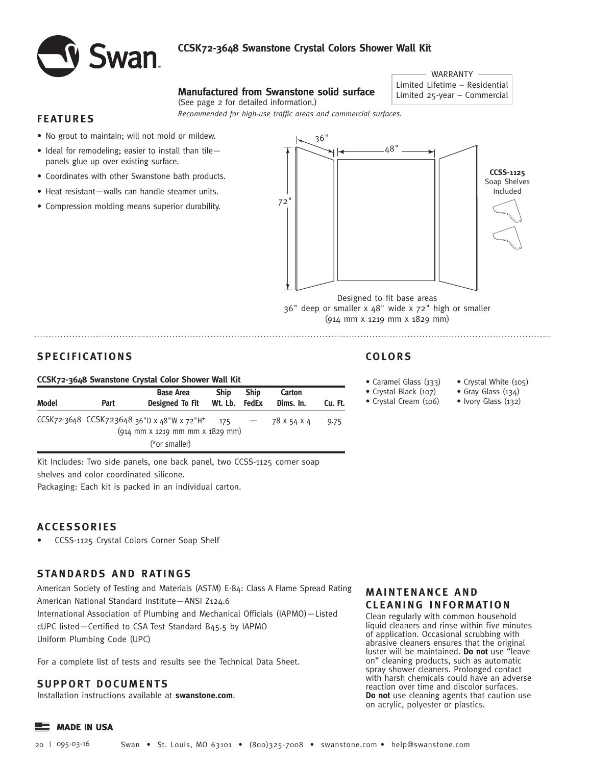

## **CCSK72-3648 Swanstone Crystal Colors Shower Wall Kit**

# **Manufactured from Swanstone solid surface** Limited Lifetime – Residential (See page 2 for detailed information.)

*Recommended for high-use traffic areas and commercial surfaces.* 

#### **FEATURES**

- No grout to maintain; will not mold or mildew.
- Ideal for remodeling; easier to install than tile panels glue up over existing surface.
- Coordinates with other Swanstone bath products.
- Heat resistant—walls can handle steamer units.
- Compression molding means superior durability.



WARRANTY

Designed to fit base areas 36" deep or smaller x 48" wide x 72" high or smaller (914 mm x 1219 mm x 1829 mm)

## **SPECIFICATIONS**

#### **CCSK72-3648 Swanstone Crystal Color Shower Wall Kit**

| Model | Part | <b>Base Area</b><br>Designed To Fit                                    | <b>Ship</b><br>Wt. Lb. FedEx | <b>Ship</b>                     | Carton<br>Dims. In. | Cu. Ft. |
|-------|------|------------------------------------------------------------------------|------------------------------|---------------------------------|---------------------|---------|
|       |      | CCSK72-3648 CCSK723648 36"D x 48"W x 72"H* 175                         |                              | $\hspace{0.1mm}-\hspace{0.1mm}$ | 78 X 54 X 4         | 9.75    |
|       |      | $(914 \, \text{mm} \times 1219 \, \text{mm} \times 1829 \, \text{mm})$ |                              |                                 |                     |         |
|       |      | (*or smaller)                                                          |                              |                                 |                     |         |

Kit Includes: Two side panels, one back panel, two CCSS-1125 corner soap shelves and color coordinated silicone.

Packaging: Each kit is packed in an individual carton.

### **ACCESSORIES**

• CCSS-1125 Crystal Colors Corner Soap Shelf

### **STANDARDS AND RATINGS**

American Society of Testing and Materials (ASTM) E-84: Class A Flame Spread Rating American National Standard Institute—ANSI Z124.6 International Association of Plumbing and Mechanical Officials (IAPMO)—Listed cUPC listed—Certified to CSA Test Standard B45.5 by IAPMO Uniform Plumbing Code (UPC)

For a complete list of tests and results see the Technical Data Sheet.

#### **SUPPORT DOCUMENTS**

Installation instructions available at **swanstone.com**.

# **COLORS**

• Caramel Glass (133) • Crystal Black (107)

- Crystal Cream (106)
- Crystal White (105)
- Gray Glass (134)
- Ivory Glass (132)

#### **MAINTENANCE AND CLEANING INFORMATION**

Clean regularly with common household liquid cleaners and rinse within five minutes of application. Occasional scrubbing with abrasive cleaners ensures that the original luster will be maintained. **Do not** use "leave on" cleaning products, such as automatic spray shower cleaners. Prolonged contact with harsh chemicals could have an adverse reaction over time and discolor surfaces. **Do not** use cleaning agents that caution use on acrylic, polyester or plastics.